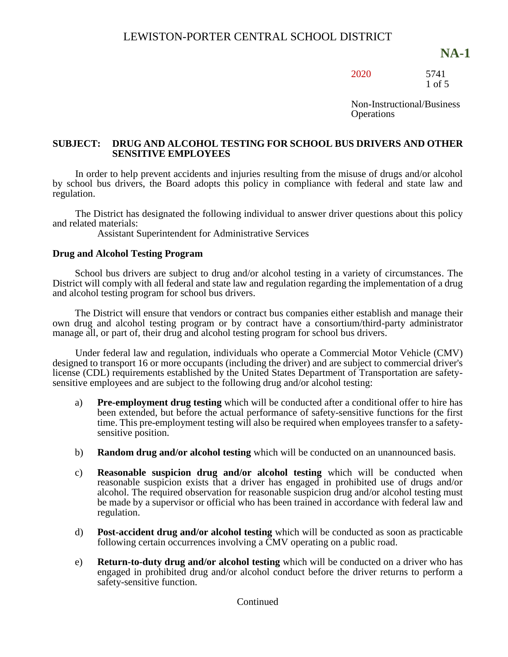**NA-1**

2020 5741 1 of 5

Non-Instructional/Business **Operations** 

## **SUBJECT: DRUG AND ALCOHOL TESTING FOR SCHOOL BUS DRIVERS AND OTHER SENSITIVE EMPLOYEES**

In order to help prevent accidents and injuries resulting from the misuse of drugs and/or alcohol by school bus drivers, the Board adopts this policy in compliance with federal and state law and regulation.

The District has designated the following individual to answer driver questions about this policy and related materials:

Assistant Superintendent for Administrative Services

### **Drug and Alcohol Testing Program**

School bus drivers are subject to drug and/or alcohol testing in a variety of circumstances. The District will comply with all federal and state law and regulation regarding the implementation of a drug and alcohol testing program for school bus drivers.

The District will ensure that vendors or contract bus companies either establish and manage their own drug and alcohol testing program or by contract have a consortium/third-party administrator manage all, or part of, their drug and alcohol testing program for school bus drivers.

Under federal law and regulation, individuals who operate a Commercial Motor Vehicle (CMV) designed to transport 16 or more occupants (including the driver) and are subject to commercial driver's license (CDL) requirements established by the United States Department of Transportation are safetysensitive employees and are subject to the following drug and/or alcohol testing:

- a) **Pre-employment drug testing** which will be conducted after a conditional offer to hire has been extended, but before the actual performance of safety-sensitive functions for the first time. This pre-employment testing will also be required when employees transfer to a safetysensitive position.
- b) **Random drug and/or alcohol testing** which will be conducted on an unannounced basis.
- c) **Reasonable suspicion drug and/or alcohol testing** which will be conducted when reasonable suspicion exists that a driver has engaged in prohibited use of drugs and/or alcohol. The required observation for reasonable suspicion drug and/or alcohol testing must be made by a supervisor or official who has been trained in accordance with federal law and regulation.
- d) **Post-accident drug and/or alcohol testing** which will be conducted as soon as practicable following certain occurrences involving a CMV operating on a public road.
- e) **Return-to-duty drug and/or alcohol testing** which will be conducted on a driver who has engaged in prohibited drug and/or alcohol conduct before the driver returns to perform a safety-sensitive function.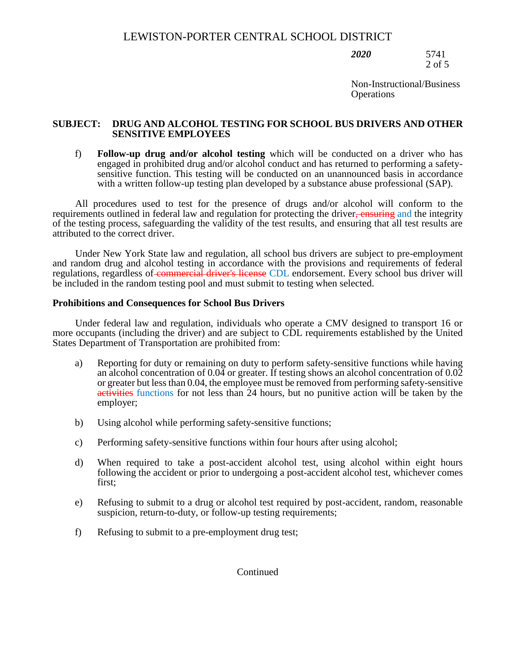*2020* 5741 2 of 5

Non-Instructional/Business **Operations** 

## **SUBJECT: DRUG AND ALCOHOL TESTING FOR SCHOOL BUS DRIVERS AND OTHER SENSITIVE EMPLOYEES**

f) **Follow-up drug and/or alcohol testing** which will be conducted on a driver who has engaged in prohibited drug and/or alcohol conduct and has returned to performing a safetysensitive function. This testing will be conducted on an unannounced basis in accordance with a written follow-up testing plan developed by a substance abuse professional (SAP).

All procedures used to test for the presence of drugs and/or alcohol will conform to the requirements outlined in federal law and regulation for protecting the driver, ensuring and the integrity of the testing process, safeguarding the validity of the test results, and ensuring that all test results are attributed to the correct driver.

Under New York State law and regulation, all school bus drivers are subject to pre-employment and random drug and alcohol testing in accordance with the provisions and requirements of federal regulations, regardless of commercial driver's license CDL endorsement. Every school bus driver will be included in the random testing pool and must submit to testing when selected.

### **Prohibitions and Consequences for School Bus Drivers**

Under federal law and regulation, individuals who operate a CMV designed to transport 16 or more occupants (including the driver) and are subject to CDL requirements established by the United States Department of Transportation are prohibited from:

- a) Reporting for duty or remaining on duty to perform safety-sensitive functions while having an alcohol concentration of 0.04 or greater. If testing shows an alcohol concentration of 0.02 or greater but less than 0.04, the employee must be removed from performing safety-sensitive activities functions for not less than 24 hours, but no punitive action will be taken by the employer;
- b) Using alcohol while performing safety-sensitive functions;
- c) Performing safety-sensitive functions within four hours after using alcohol;
- d) When required to take a post-accident alcohol test, using alcohol within eight hours following the accident or prior to undergoing a post-accident alcohol test, whichever comes first;
- e) Refusing to submit to a drug or alcohol test required by post-accident, random, reasonable suspicion, return-to-duty, or follow-up testing requirements;
- f) Refusing to submit to a pre-employment drug test;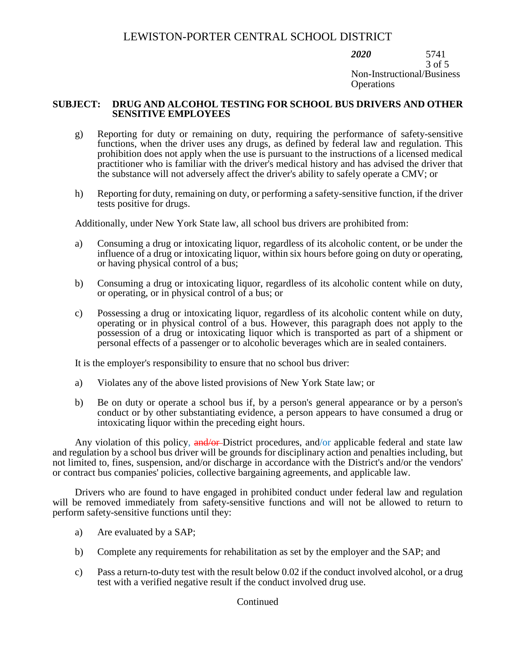*2020* 5741 3 of 5 Non-Instructional/Business **Operations** 

### **SUBJECT: DRUG AND ALCOHOL TESTING FOR SCHOOL BUS DRIVERS AND OTHER SENSITIVE EMPLOYEES**

- g) Reporting for duty or remaining on duty, requiring the performance of safety-sensitive functions, when the driver uses any drugs, as defined by federal law and regulation. This prohibition does not apply when the use is pursuant to the instructions of a licensed medical practitioner who is familiar with the driver's medical history and has advised the driver that the substance will not adversely affect the driver's ability to safely operate a CMV; or
- h) Reporting for duty, remaining on duty, or performing a safety-sensitive function, if the driver tests positive for drugs.

Additionally, under New York State law, all school bus drivers are prohibited from:

- a) Consuming a drug or intoxicating liquor, regardless of its alcoholic content, or be under the influence of a drug or intoxicating liquor, within six hours before going on duty or operating, or having physical control of a bus;
- b) Consuming a drug or intoxicating liquor, regardless of its alcoholic content while on duty, or operating, or in physical control of a bus; or
- c) Possessing a drug or intoxicating liquor, regardless of its alcoholic content while on duty, operating or in physical control of a bus. However, this paragraph does not apply to the possession of a drug or intoxicating liquor which is transported as part of a shipment or personal effects of a passenger or to alcoholic beverages which are in sealed containers.

It is the employer's responsibility to ensure that no school bus driver:

- a) Violates any of the above listed provisions of New York State law; or
- b) Be on duty or operate a school bus if, by a person's general appearance or by a person's conduct or by other substantiating evidence, a person appears to have consumed a drug or intoxicating liquor within the preceding eight hours.

Any violation of this policy, and/or-District procedures, and/or applicable federal and state law and regulation by a school bus driver will be grounds for disciplinary action and penalties including, but not limited to, fines, suspension, and/or discharge in accordance with the District's and/or the vendors' or contract bus companies' policies, collective bargaining agreements, and applicable law.

Drivers who are found to have engaged in prohibited conduct under federal law and regulation will be removed immediately from safety-sensitive functions and will not be allowed to return to perform safety-sensitive functions until they:

- a) Are evaluated by a SAP;
- b) Complete any requirements for rehabilitation as set by the employer and the SAP; and
- c) Pass a return-to-duty test with the result below 0.02 if the conduct involved alcohol, or a drug test with a verified negative result if the conduct involved drug use.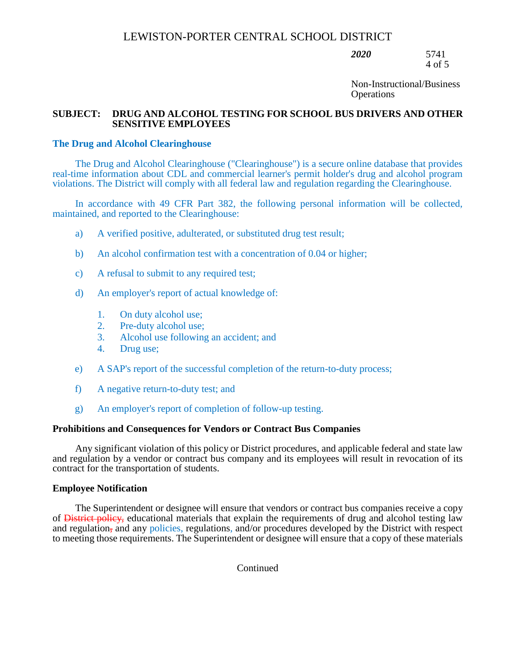*2020* 5741 4 of 5

Non-Instructional/Business **Operations** 

## **SUBJECT: DRUG AND ALCOHOL TESTING FOR SCHOOL BUS DRIVERS AND OTHER SENSITIVE EMPLOYEES**

## **The Drug and Alcohol Clearinghouse**

The Drug and Alcohol Clearinghouse ("Clearinghouse") is a secure online database that provides real-time information about CDL and commercial learner's permit holder's drug and alcohol program violations. The District will comply with all federal law and regulation regarding the Clearinghouse.

In accordance with 49 CFR Part 382, the following personal information will be collected, maintained, and reported to the Clearinghouse:

- a) A verified positive, adulterated, or substituted drug test result;
- b) An alcohol confirmation test with a concentration of 0.04 or higher;
- c) A refusal to submit to any required test;
- d) An employer's report of actual knowledge of:
	- 1. On duty alcohol use;
	- 2. Pre-duty alcohol use;
	- 3. Alcohol use following an accident; and
	- 4. Drug use;
- e) A SAP's report of the successful completion of the return-to-duty process;
- f) A negative return-to-duty test; and
- g) An employer's report of completion of follow-up testing.

### **Prohibitions and Consequences for Vendors or Contract Bus Companies**

Any significant violation of this policy or District procedures, and applicable federal and state law and regulation by a vendor or contract bus company and its employees will result in revocation of its contract for the transportation of students.

### **Employee Notification**

The Superintendent or designee will ensure that vendors or contract bus companies receive a copy of District policy, educational materials that explain the requirements of drug and alcohol testing law and regulation, and any policies, regulations, and/or procedures developed by the District with respect to meeting those requirements. The Superintendent or designee will ensure that a copy of these materials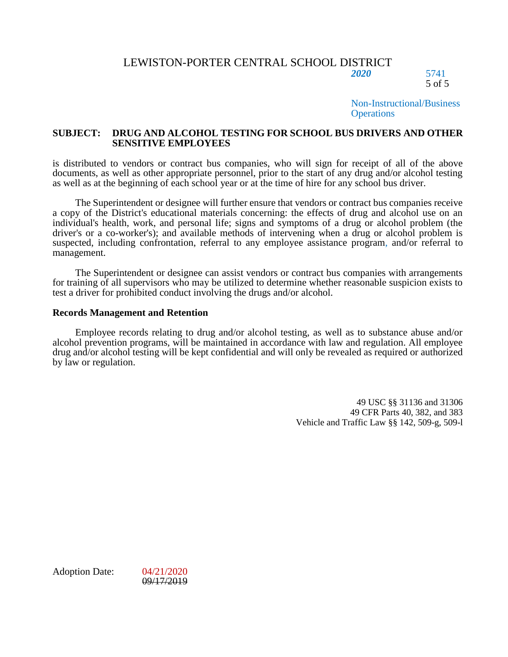*2020* 5741 5 of 5

Non-Instructional/Business **Operations** 

### **SUBJECT: DRUG AND ALCOHOL TESTING FOR SCHOOL BUS DRIVERS AND OTHER SENSITIVE EMPLOYEES**

is distributed to vendors or contract bus companies, who will sign for receipt of all of the above documents, as well as other appropriate personnel, prior to the start of any drug and/or alcohol testing as well as at the beginning of each school year or at the time of hire for any school bus driver.

The Superintendent or designee will further ensure that vendors or contract bus companies receive a copy of the District's educational materials concerning: the effects of drug and alcohol use on an individual's health, work, and personal life; signs and symptoms of a drug or alcohol problem (the driver's or a co-worker's); and available methods of intervening when a drug or alcohol problem is suspected, including confrontation, referral to any employee assistance program, and/or referral to management.

The Superintendent or designee can assist vendors or contract bus companies with arrangements for training of all supervisors who may be utilized to determine whether reasonable suspicion exists to test a driver for prohibited conduct involving the drugs and/or alcohol.

#### **Records Management and Retention**

Employee records relating to drug and/or alcohol testing, as well as to substance abuse and/or alcohol prevention programs, will be maintained in accordance with law and regulation. All employee drug and/or alcohol testing will be kept confidential and will only be revealed as required or authorized by law or regulation.

> 49 USC §§ 31136 and 31306 49 CFR Parts 40, 382, and 383 Vehicle and Traffic Law §§ 142, 509-g, 509-l

Adoption Date: 04/21/2020

09/17/2019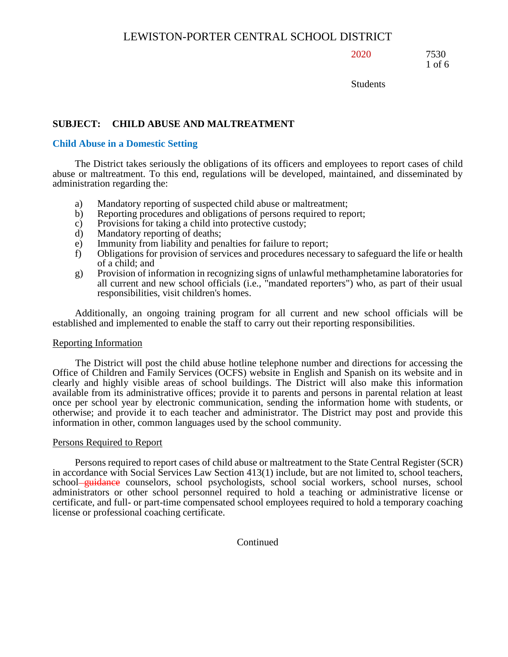# 2020 7530

1 of 6

Students

# **SUBJECT: CHILD ABUSE AND MALTREATMENT**

# **Child Abuse in a Domestic Setting**

The District takes seriously the obligations of its officers and employees to report cases of child abuse or maltreatment. To this end, regulations will be developed, maintained, and disseminated by administration regarding the:

- a) Mandatory reporting of suspected child abuse or maltreatment;
- b) Reporting procedures and obligations of persons required to report;
- c) Provisions for taking a child into protective custody;
- d) Mandatory reporting of deaths;
- e) Immunity from liability and penalties for failure to report;
- f) Obligations for provision of services and procedures necessary to safeguard the life or health of a child; and
- g) Provision of information in recognizing signs of unlawful methamphetamine laboratories for all current and new school officials (i.e., "mandated reporters") who, as part of their usual responsibilities, visit children's homes.

Additionally, an ongoing training program for all current and new school officials will be established and implemented to enable the staff to carry out their reporting responsibilities.

# Reporting Information

The District will post the child abuse hotline telephone number and directions for accessing the Office of Children and Family Services (OCFS) website in English and Spanish on its website and in clearly and highly visible areas of school buildings. The District will also make this information available from its administrative offices; provide it to parents and persons in parental relation at least once per school year by electronic communication, sending the information home with students, or otherwise; and provide it to each teacher and administrator. The District may post and provide this information in other, common languages used by the school community.

# Persons Required to Report

Persons required to report cases of child abuse or maltreatment to the State Central Register (SCR) in accordance with Social Services Law Section 413(1) include, but are not limited to, school teachers, school guidance counselors, school psychologists, school social workers, school nurses, school administrators or other school personnel required to hold a teaching or administrative license or certificate, and full- or part-time compensated school employees required to hold a temporary coaching license or professional coaching certificate.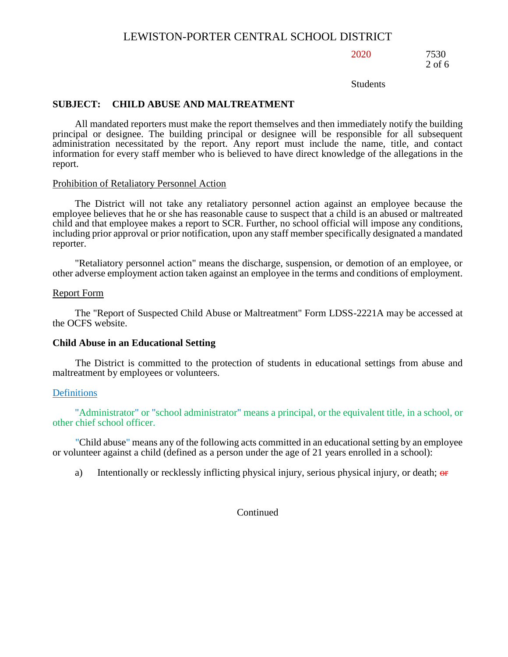## 2020 7530 2 of 6

Students

## **SUBJECT: CHILD ABUSE AND MALTREATMENT**

All mandated reporters must make the report themselves and then immediately notify the building principal or designee. The building principal or designee will be responsible for all subsequent administration necessitated by the report. Any report must include the name, title, and contact information for every staff member who is believed to have direct knowledge of the allegations in the report.

#### Prohibition of Retaliatory Personnel Action

The District will not take any retaliatory personnel action against an employee because the employee believes that he or she has reasonable cause to suspect that a child is an abused or maltreated child and that employee makes a report to SCR. Further, no school official will impose any conditions, including prior approval or prior notification, upon any staff member specifically designated a mandated reporter.

"Retaliatory personnel action" means the discharge, suspension, or demotion of an employee, or other adverse employment action taken against an employee in the terms and conditions of employment.

### Report Form

The "Report of Suspected Child Abuse or Maltreatment" Form LDSS-2221A may be accessed at the OCFS website.

### **Child Abuse in an Educational Setting**

The District is committed to the protection of students in educational settings from abuse and maltreatment by employees or volunteers.

### **Definitions**

"Administrator" or "school administrator" means a principal, or the equivalent title, in a school, or other chief school officer.

"Child abuse" means any of the following acts committed in an educational setting by an employee or volunteer against a child (defined as a person under the age of 21 years enrolled in a school):

a) Intentionally or recklessly inflicting physical injury, serious physical injury, or death;  $\theta$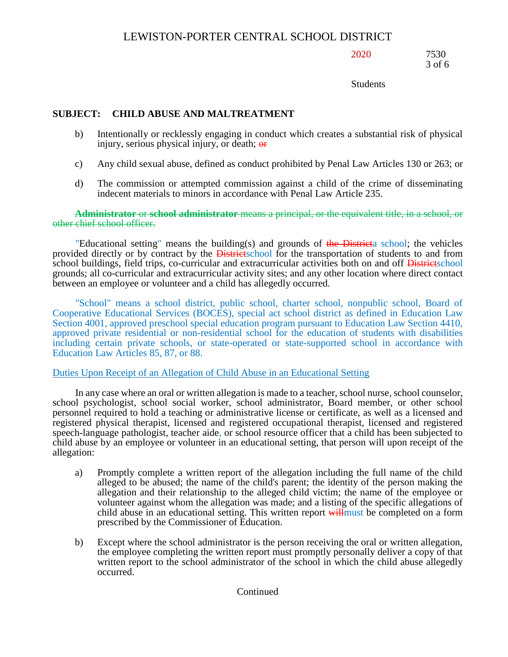2020 7530 3 of 6

Students

# **SUBJECT: CHILD ABUSE AND MALTREATMENT**

- b) Intentionally or recklessly engaging in conduct which creates a substantial risk of physical injury, serious physical injury, or death;  $\Theta$ **F**
- c) Any child sexual abuse, defined as conduct prohibited by Penal Law Articles 130 or 263; or
- d) The commission or attempted commission against a child of the crime of disseminating indecent materials to minors in accordance with Penal Law Article 235.

**Administrator** or **school administrator** means a principal, or the equivalent title, in a school, or other chief school officer.

"Educational setting" means the building(s) and grounds of the Districta school; the vehicles provided directly or by contract by the **Districtschool** for the transportation of students to and from school buildings, field trips, co-curricular and extracurricular activities both on and off **District**school grounds; all co-curricular and extracurricular activity sites; and any other location where direct contact between an employee or volunteer and a child has allegedly occurred.

"School" means a school district, public school, charter school, nonpublic school, Board of Cooperative Educational Services (BOCES), special act school district as defined in Education Law Section 4001, approved preschool special education program pursuant to Education Law Section 4410, approved private residential or non-residential school for the education of students with disabilities including certain private schools, or state-operated or state-supported school in accordance with Education Law Articles 85, 87, or 88.

# Duties Upon Receipt of an Allegation of Child Abuse in an Educational Setting

In any case where an oral or written allegation is made to a teacher, school nurse, school counselor, school psychologist, school social worker, school administrator, Board member, or other school personnel required to hold a teaching or administrative license or certificate, as well as a licensed and registered physical therapist, licensed and registered occupational therapist, licensed and registered speech-language pathologist, teacher aide, or school resource officer that a child has been subjected to child abuse by an employee or volunteer in an educational setting, that person will upon receipt of the allegation:

- a) Promptly complete a written report of the allegation including the full name of the child alleged to be abused; the name of the child's parent; the identity of the person making the allegation and their relationship to the alleged child victim; the name of the employee or volunteer against whom the allegation was made; and a listing of the specific allegations of child abuse in an educational setting. This written report will must be completed on a form prescribed by the Commissioner of Education.
- b) Except where the school administrator is the person receiving the oral or written allegation, the employee completing the written report must promptly personally deliver a copy of that written report to the school administrator of the school in which the child abuse allegedly occurred.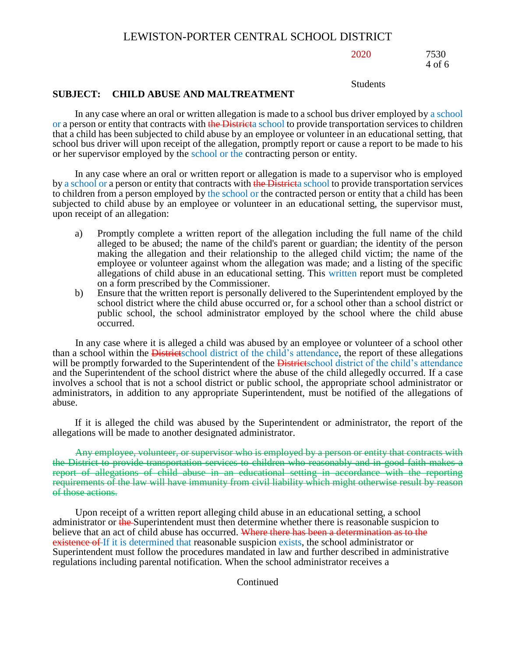2020 7530 4 of 6

Students

### **SUBJECT: CHILD ABUSE AND MALTREATMENT**

In any case where an oral or written allegation is made to a school bus driver employed by a school or a person or entity that contracts with the Districta school to provide transportation services to children that a child has been subjected to child abuse by an employee or volunteer in an educational setting, that school bus driver will upon receipt of the allegation, promptly report or cause a report to be made to his or her supervisor employed by the school or the contracting person or entity.

In any case where an oral or written report or allegation is made to a supervisor who is employed by a school or a person or entity that contracts with the Districta school to provide transportation services to children from a person employed by the school or the contracted person or entity that a child has been subjected to child abuse by an employee or volunteer in an educational setting, the supervisor must, upon receipt of an allegation:

- a) Promptly complete a written report of the allegation including the full name of the child alleged to be abused; the name of the child's parent or guardian; the identity of the person making the allegation and their relationship to the alleged child victim; the name of the employee or volunteer against whom the allegation was made; and a listing of the specific allegations of child abuse in an educational setting. This written report must be completed on a form prescribed by the Commissioner.
- b) Ensure that the written report is personally delivered to the Superintendent employed by the school district where the child abuse occurred or, for a school other than a school district or public school, the school administrator employed by the school where the child abuse occurred.

In any case where it is alleged a child was abused by an employee or volunteer of a school other than a school within the **District**school district of the child's attendance, the report of these allegations will be promptly forwarded to the Superintendent of the Districtschool district of the child's attendance and the Superintendent of the school district where the abuse of the child allegedly occurred. If a case involves a school that is not a school district or public school, the appropriate school administrator or administrators, in addition to any appropriate Superintendent, must be notified of the allegations of abuse.

If it is alleged the child was abused by the Superintendent or administrator, the report of the allegations will be made to another designated administrator.

Any employee, volunteer, or supervisor who is employed by a person or entity that contracts with the District to provide transportation services to children who reasonably and in good faith makes a report of allegations of child abuse in an educational setting in accordance with the reporting requirements of the law will have immunity from civil liability which might otherwise result by reason of those actions.

Upon receipt of a written report alleging child abuse in an educational setting, a school administrator or the Superintendent must then determine whether there is reasonable suspicion to believe that an act of child abuse has occurred. Where there has been a determination as to the **existence of** If it is determined that reasonable suspicion exists, the school administrator or Superintendent must follow the procedures mandated in law and further described in administrative regulations including parental notification. When the school administrator receives a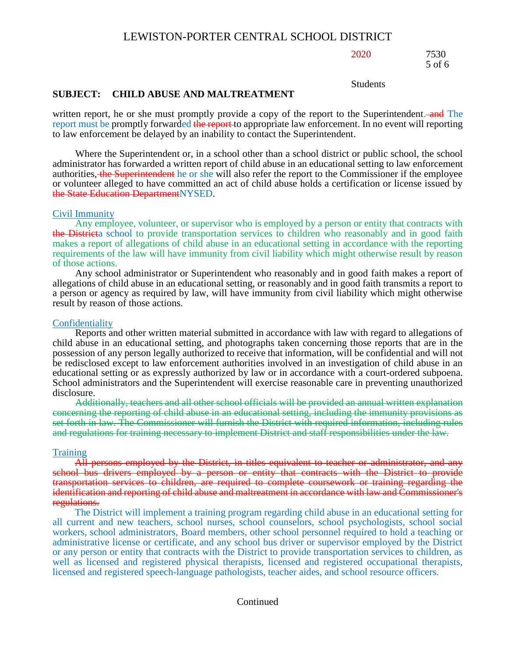2020 7530 5 of 6

#### Students

#### **SUBJECT: CHILD ABUSE AND MALTREATMENT**

written report, he or she must promptly provide a copy of the report to the Superintendent. and The report must be promptly forwarded the report to appropriate law enforcement. In no event will reporting to law enforcement be delayed by an inability to contact the Superintendent.

Where the Superintendent or, in a school other than a school district or public school, the school administrator has forwarded a written report of child abuse in an educational setting to law enforcement authorities, the Superintendent he or she will also refer the report to the Commissioner if the employee or volunteer alleged to have committed an act of child abuse holds a certification or license issued by the State Education Department NYSED.

#### Civil Immunity

Any employee, volunteer, or supervisor who is employed by a person or entity that contracts with the Districta school to provide transportation services to children who reasonably and in good faith makes a report of allegations of child abuse in an educational setting in accordance with the reporting requirements of the law will have immunity from civil liability which might otherwise result by reason of those actions.

Any school administrator or Superintendent who reasonably and in good faith makes a report of allegations of child abuse in an educational setting, or reasonably and in good faith transmits a report to a person or agency as required by law, will have immunity from civil liability which might otherwise result by reason of those actions.

#### Confidentiality

Reports and other written material submitted in accordance with law with regard to allegations of child abuse in an educational setting, and photographs taken concerning those reports that are in the possession of any person legally authorized to receive that information, will be confidential and will not be redisclosed except to law enforcement authorities involved in an investigation of child abuse in an educational setting or as expressly authorized by law or in accordance with a court-ordered subpoena. School administrators and the Superintendent will exercise reasonable care in preventing unauthorized disclosure.

Additionally, teachers and all other school officials will be provided an annual written explanation concerning the reporting of child abuse in an educational setting, including the immunity provisions as set forth in law. The Commissioner will furnish the District with required information, including rules and regulations for training necessary to implement District and staff responsibilities under the law.

#### **Training**

All persons employed by the District, in titles equivalent to teacher or administrator, and any school bus drivers employed by a person or entity that contracts with the District to provide transportation services to children, are required to complete coursework or training regarding the identification and reporting of child abuse and maltreatment in accordance with law and Commissioner's regulations.

The District will implement a training program regarding child abuse in an educational setting for all current and new teachers, school nurses, school counselors, school psychologists, school social workers, school administrators, Board members, other school personnel required to hold a teaching or administrative license or certificate, and any school bus driver or supervisor employed by the District or any person or entity that contracts with the District to provide transportation services to children, as well as licensed and registered physical therapists, licensed and registered occupational therapists, licensed and registered speech-language pathologists, teacher aides, and school resource officers.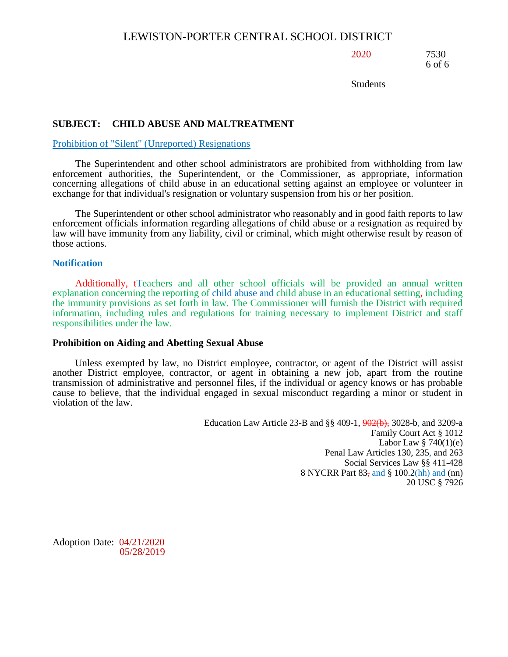2020 7530 6 of 6

Students

# **SUBJECT: CHILD ABUSE AND MALTREATMENT**

### Prohibition of "Silent" (Unreported) Resignations

The Superintendent and other school administrators are prohibited from withholding from law enforcement authorities, the Superintendent, or the Commissioner, as appropriate, information concerning allegations of child abuse in an educational setting against an employee or volunteer in exchange for that individual's resignation or voluntary suspension from his or her position.

The Superintendent or other school administrator who reasonably and in good faith reports to law enforcement officials information regarding allegations of child abuse or a resignation as required by law will have immunity from any liability, civil or criminal, which might otherwise result by reason of those actions.

#### **Notification**

Additionally, tTeachers and all other school officials will be provided an annual written explanation concerning the reporting of child abuse and child abuse in an educational setting, including the immunity provisions as set forth in law. The Commissioner will furnish the District with required information, including rules and regulations for training necessary to implement District and staff responsibilities under the law.

#### **Prohibition on Aiding and Abetting Sexual Abuse**

Unless exempted by law, no District employee, contractor, or agent of the District will assist another District employee, contractor, or agent in obtaining a new job, apart from the routine transmission of administrative and personnel files, if the individual or agency knows or has probable cause to believe, that the individual engaged in sexual misconduct regarding a minor or student in violation of the law.

> Education Law Article 23-B and §§ 409-1, 902(b), 3028-b, and 3209-a Family Court Act § 1012 Labor Law  $\S$  740(1)(e) Penal Law Articles 130, 235, and 263 Social Services Law §§ 411-428 8 NYCRR Part 83, and § 100.2(hh) and (nn) 20 USC § 7926

Adoption Date: 04/21/2020 05/28/2019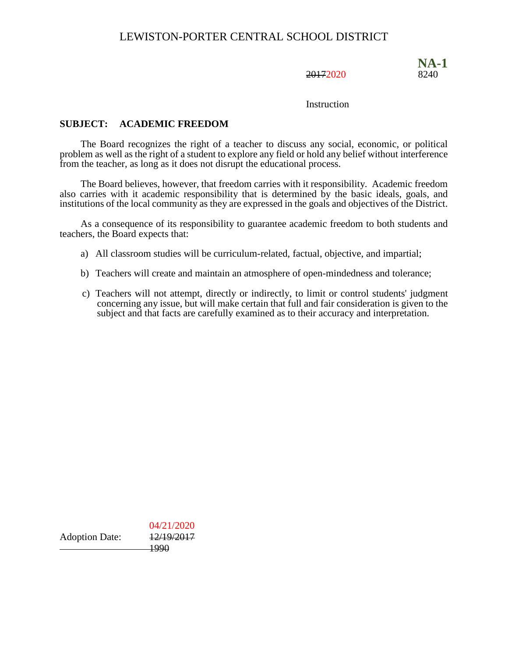#### 20172020

**NA-1**<br>8240

Instruction

### **SUBJECT: ACADEMIC FREEDOM**

The Board recognizes the right of a teacher to discuss any social, economic, or political problem as well as the right of a student to explore any field or hold any belief without interference from the teacher, as long as it does not disrupt the educational process.

The Board believes, however, that freedom carries with it responsibility. Academic freedom also carries with it academic responsibility that is determined by the basic ideals, goals, and institutions of the local community as they are expressed in the goals and objectives of the District.

As a consequence of its responsibility to guarantee academic freedom to both students and teachers, the Board expects that:

- a) All classroom studies will be curriculum-related, factual, objective, and impartial;
- b) Teachers will create and maintain an atmosphere of open-mindedness and tolerance;
- c) Teachers will not attempt, directly or indirectly, to limit or control students' judgment concerning any issue, but will make certain that full and fair consideration is given to the subject and that facts are carefully examined as to their accuracy and interpretation.

04/21/2020 Adoption Date: 12/19/2017 1990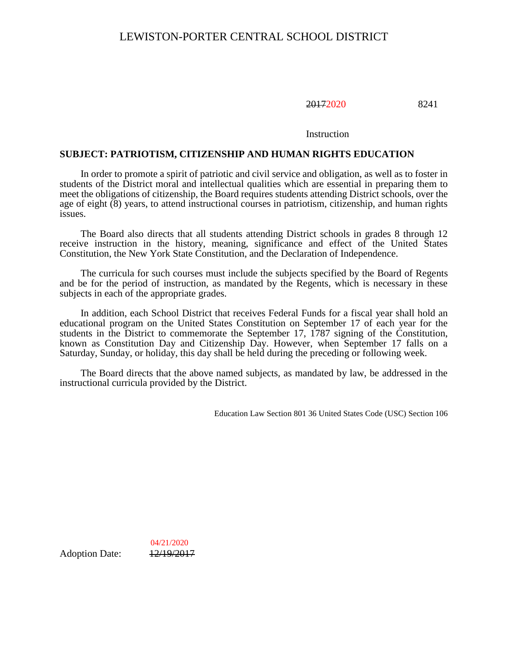#### 20172020 8241

#### **Instruction**

## **SUBJECT: PATRIOTISM, CITIZENSHIP AND HUMAN RIGHTS EDUCATION**

In order to promote a spirit of patriotic and civil service and obligation, as well as to foster in students of the District moral and intellectual qualities which are essential in preparing them to meet the obligations of citizenship, the Board requires students attending District schools, over the age of eight (8) years, to attend instructional courses in patriotism, citizenship, and human rights issues.

The Board also directs that all students attending District schools in grades 8 through 12 receive instruction in the history, meaning, significance and effect of the United States Constitution, the New York State Constitution, and the Declaration of Independence.

The curricula for such courses must include the subjects specified by the Board of Regents and be for the period of instruction, as mandated by the Regents, which is necessary in these subjects in each of the appropriate grades.

In addition, each School District that receives Federal Funds for a fiscal year shall hold an educational program on the United States Constitution on September 17 of each year for the students in the District to commemorate the September 17, 1787 signing of the Constitution, known as Constitution Day and Citizenship Day. However, when September 17 falls on a Saturday, Sunday, or holiday, this day shall be held during the preceding or following week.

The Board directs that the above named subjects, as mandated by law, be addressed in the instructional curricula provided by the District.

Education Law Section 801 36 United States Code (USC) Section 106

Adoption Date: 12/19/2017

04/21/2020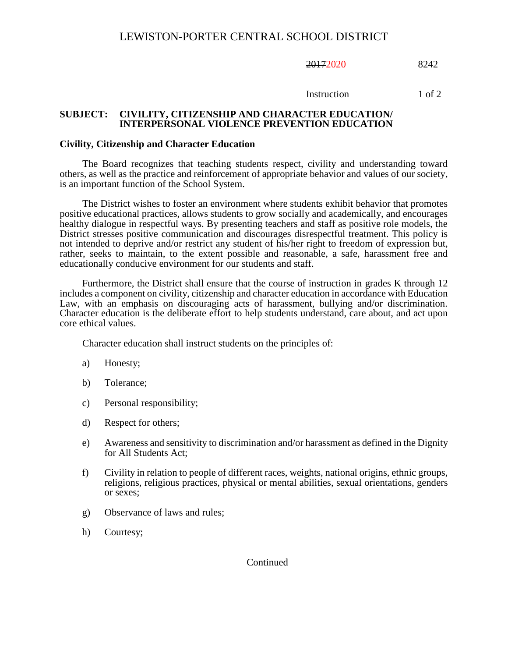20172020 8242

## Instruction 1 of 2

### **SUBJECT: CIVILITY, CITIZENSHIP AND CHARACTER EDUCATION/ INTERPERSONAL VIOLENCE PREVENTION EDUCATION**

### **Civility, Citizenship and Character Education**

The Board recognizes that teaching students respect, civility and understanding toward others, as well as the practice and reinforcement of appropriate behavior and values of our society, is an important function of the School System.

The District wishes to foster an environment where students exhibit behavior that promotes positive educational practices, allows students to grow socially and academically, and encourages healthy dialogue in respectful ways. By presenting teachers and staff as positive role models, the District stresses positive communication and discourages disrespectful treatment. This policy is not intended to deprive and/or restrict any student of his/her right to freedom of expression but, rather, seeks to maintain, to the extent possible and reasonable, a safe, harassment free and educationally conducive environment for our students and staff.

Furthermore, the District shall ensure that the course of instruction in grades K through 12 includes a component on civility, citizenship and character education in accordance with Education Law, with an emphasis on discouraging acts of harassment, bullying and/or discrimination. Character education is the deliberate effort to help students understand, care about, and act upon core ethical values.

Character education shall instruct students on the principles of:

- a) Honesty;
- b) Tolerance;
- c) Personal responsibility;
- d) Respect for others;
- e) Awareness and sensitivity to discrimination and/or harassment as defined in the Dignity for All Students Act;
- f) Civility in relation to people of different races, weights, national origins, ethnic groups, religions, religious practices, physical or mental abilities, sexual orientations, genders or sexes;
- g) Observance of laws and rules;
- h) Courtesy;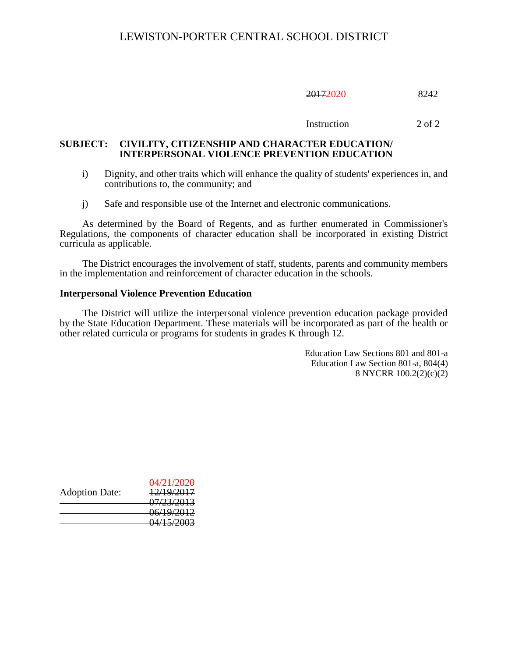## 20172020 8242

Instruction 2 of 2

## **SUBJECT: CIVILITY, CITIZENSHIP AND CHARACTER EDUCATION/ INTERPERSONAL VIOLENCE PREVENTION EDUCATION**

- i) Dignity, and other traits which will enhance the quality of students' experiences in, and contributions to, the community; and
- j) Safe and responsible use of the Internet and electronic communications.

As determined by the Board of Regents, and as further enumerated in Commissioner's Regulations, the components of character education shall be incorporated in existing District curricula as applicable.

The District encourages the involvement of staff, students, parents and community members in the implementation and reinforcement of character education in the schools.

#### **Interpersonal Violence Prevention Education**

The District will utilize the interpersonal violence prevention education package provided by the State Education Department. These materials will be incorporated as part of the health or other related curricula or programs for students in grades K through 12.

> Education Law Sections 801 and 801-a Education Law Section 801-a, 804(4) 8 NYCRR 100.2(2)(c)(2)

|                       | 04/21/2020 |
|-----------------------|------------|
| <b>Adoption Date:</b> | 12/19/2017 |
|                       | 07/23/2013 |
|                       | 06/19/2012 |
|                       | 04/15/2003 |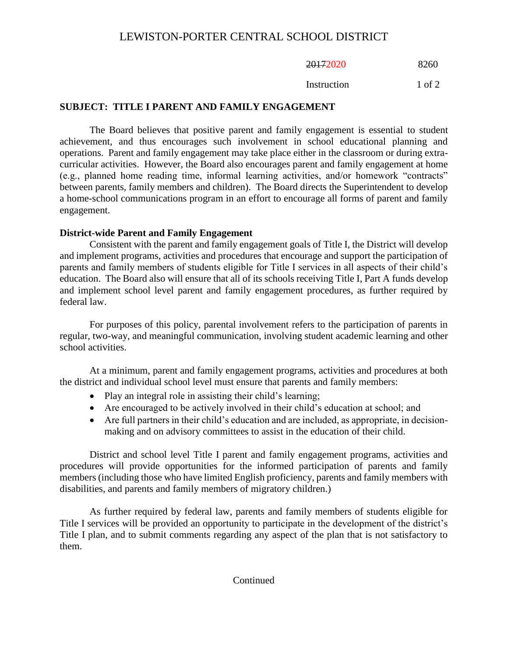20172020 8260

Instruction 1 of 2

# **SUBJECT: TITLE I PARENT AND FAMILY ENGAGEMENT**

The Board believes that positive parent and family engagement is essential to student achievement, and thus encourages such involvement in school educational planning and operations. Parent and family engagement may take place either in the classroom or during extracurricular activities. However, the Board also encourages parent and family engagement at home (e.g., planned home reading time, informal learning activities, and/or homework "contracts" between parents, family members and children). The Board directs the Superintendent to develop a home-school communications program in an effort to encourage all forms of parent and family engagement.

# **District-wide Parent and Family Engagement**

Consistent with the parent and family engagement goals of Title I, the District will develop and implement programs, activities and procedures that encourage and support the participation of parents and family members of students eligible for Title I services in all aspects of their child's education. The Board also will ensure that all of its schools receiving Title I, Part A funds develop and implement school level parent and family engagement procedures, as further required by federal law.

For purposes of this policy, parental involvement refers to the participation of parents in regular, two-way, and meaningful communication, involving student academic learning and other school activities.

At a minimum, parent and family engagement programs, activities and procedures at both the district and individual school level must ensure that parents and family members:

- Play an integral role in assisting their child's learning;
- Are encouraged to be actively involved in their child's education at school; and
- Are full partners in their child's education and are included, as appropriate, in decisionmaking and on advisory committees to assist in the education of their child.

District and school level Title I parent and family engagement programs, activities and procedures will provide opportunities for the informed participation of parents and family members (including those who have limited English proficiency, parents and family members with disabilities, and parents and family members of migratory children.)

As further required by federal law, parents and family members of students eligible for Title I services will be provided an opportunity to participate in the development of the district's Title I plan, and to submit comments regarding any aspect of the plan that is not satisfactory to them.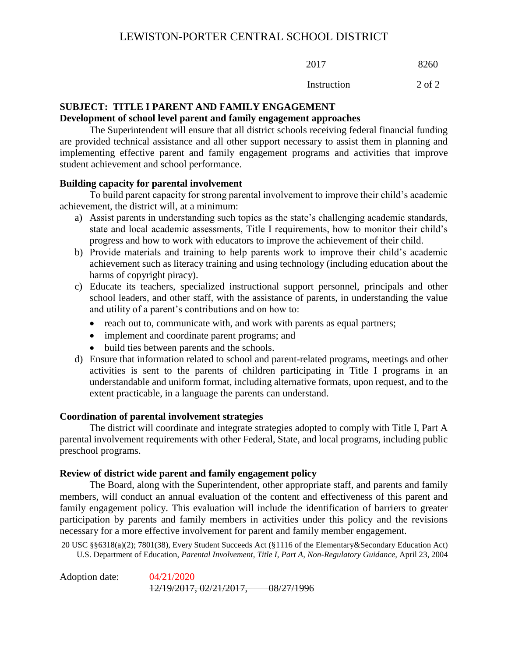2017 8260

Instruction 2 of 2

# **SUBJECT: TITLE I PARENT AND FAMILY ENGAGEMENT**

# **Development of school level parent and family engagement approaches**

The Superintendent will ensure that all district schools receiving federal financial funding are provided technical assistance and all other support necessary to assist them in planning and implementing effective parent and family engagement programs and activities that improve student achievement and school performance.

# **Building capacity for parental involvement**

To build parent capacity for strong parental involvement to improve their child's academic achievement, the district will, at a minimum:

- a) Assist parents in understanding such topics as the state's challenging academic standards, state and local academic assessments, Title I requirements, how to monitor their child's progress and how to work with educators to improve the achievement of their child.
- b) Provide materials and training to help parents work to improve their child's academic achievement such as literacy training and using technology (including education about the harms of copyright piracy).
- c) Educate its teachers, specialized instructional support personnel, principals and other school leaders, and other staff, with the assistance of parents, in understanding the value and utility of a parent's contributions and on how to:
	- reach out to, communicate with, and work with parents as equal partners;
	- implement and coordinate parent programs; and
	- build ties between parents and the schools.
- d) Ensure that information related to school and parent-related programs, meetings and other activities is sent to the parents of children participating in Title I programs in an understandable and uniform format, including alternative formats, upon request, and to the extent practicable, in a language the parents can understand.

# **Coordination of parental involvement strategies**

The district will coordinate and integrate strategies adopted to comply with Title I, Part A parental involvement requirements with other Federal, State, and local programs, including public preschool programs.

# **Review of district wide parent and family engagement policy**

The Board, along with the Superintendent, other appropriate staff, and parents and family members, will conduct an annual evaluation of the content and effectiveness of this parent and family engagement policy. This evaluation will include the identification of barriers to greater participation by parents and family members in activities under this policy and the revisions necessary for a more effective involvement for parent and family member engagement.

20 USC §§6318(a)(2); 7801(38), Every Student Succeeds Act (§1116 of the Elementary&Secondary Education Act) U.S. Department of Education, *Parental Involvement, Title I, Part A, Non-Regulatory Guidance,* April 23, 2004

Adoption date: 04/21/2020 12/19/2017, 02/21/2017, 08/27/1996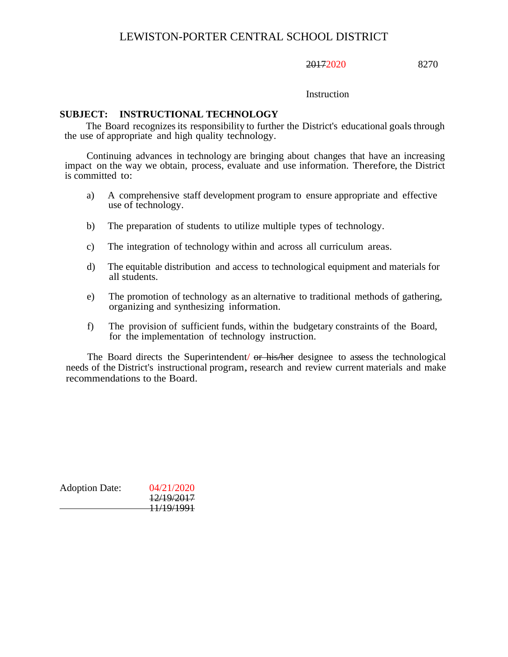### 20172020 8270

**Instruction** 

# **SUBJECT: INSTRUCTIONAL TECHNOLOGY**

The Board recognizes its responsibility to further the District's educational goals through the use of appropriate and high quality technology.

Continuing advances in technology are bringing about changes that have an increasing impact on the way we obtain, process, evaluate and use information. Therefore, the District is committed to:

- a) A comprehensive staff development program to ensure appropriate and effective use of technology.
- b) The preparation of students to utilize multiple types of technology.
- c) The integration of technology within and across all curriculum areas.
- d) The equitable distribution and access to technological equipment and materials for all students.
- e) The promotion of technology as an alternative to traditional methods of gathering, organizing and synthesizing information.
- f) The provision of sufficient funds, within the budgetary constraints of the Board, for the implementation of technology instruction.

The Board directs the Superintendent/  $\theta$  his/her designee to assess the technological needs of the District's instructional program, research and review current materials and make recommendations to the Board.

| <b>Adoption Date:</b> | 04/21/2020 |
|-----------------------|------------|
|                       | 12/19/2017 |
|                       | 11/19/1991 |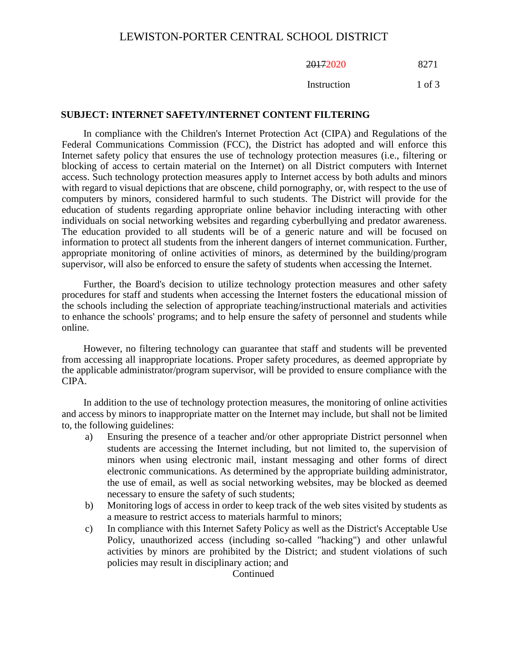### 20172020 8271

Instruction 1 of 3

## **SUBJECT: INTERNET SAFETY/INTERNET CONTENT FILTERING**

In compliance with the Children's Internet Protection Act (CIPA) and Regulations of the Federal Communications Commission (FCC), the District has adopted and will enforce this Internet safety policy that ensures the use of technology protection measures (i.e., filtering or blocking of access to certain material on the Internet) on all District computers with Internet access. Such technology protection measures apply to Internet access by both adults and minors with regard to visual depictions that are obscene, child pornography, or, with respect to the use of computers by minors, considered harmful to such students. The District will provide for the education of students regarding appropriate online behavior including interacting with other individuals on social networking websites and regarding cyberbullying and predator awareness. The education provided to all students will be of a generic nature and will be focused on information to protect all students from the inherent dangers of internet communication. Further, appropriate monitoring of online activities of minors, as determined by the building/program supervisor, will also be enforced to ensure the safety of students when accessing the Internet.

Further, the Board's decision to utilize technology protection measures and other safety procedures for staff and students when accessing the Internet fosters the educational mission of the schools including the selection of appropriate teaching/instructional materials and activities to enhance the schools' programs; and to help ensure the safety of personnel and students while online.

However, no filtering technology can guarantee that staff and students will be prevented from accessing all inappropriate locations. Proper safety procedures, as deemed appropriate by the applicable administrator/program supervisor, will be provided to ensure compliance with the CIPA.

In addition to the use of technology protection measures, the monitoring of online activities and access by minors to inappropriate matter on the Internet may include, but shall not be limited to, the following guidelines:

- a) Ensuring the presence of a teacher and/or other appropriate District personnel when students are accessing the Internet including, but not limited to, the supervision of minors when using electronic mail, instant messaging and other forms of direct electronic communications. As determined by the appropriate building administrator, the use of email, as well as social networking websites, may be blocked as deemed necessary to ensure the safety of such students;
- b) Monitoring logs of access in order to keep track of the web sites visited by students as a measure to restrict access to materials harmful to minors;
- c) In compliance with this Internet Safety Policy as well as the District's Acceptable Use Policy, unauthorized access (including so-called "hacking") and other unlawful activities by minors are prohibited by the District; and student violations of such policies may result in disciplinary action; and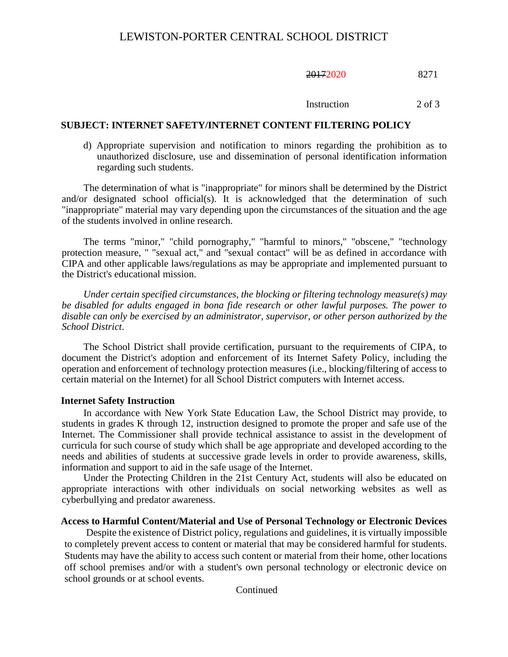# 20172020 8271

# Instruction 2 of 3

## **SUBJECT: INTERNET SAFETY/INTERNET CONTENT FILTERING POLICY**

d) Appropriate supervision and notification to minors regarding the prohibition as to unauthorized disclosure, use and dissemination of personal identification information regarding such students.

The determination of what is "inappropriate" for minors shall be determined by the District and/or designated school official(s). It is acknowledged that the determination of such "inappropriate" material may vary depending upon the circumstances of the situation and the age of the students involved in online research.

The terms "minor," "child pornography," "harmful to minors," "obscene," "technology protection measure, " "sexual act," and "sexual contact" will be as defined in accordance with CIPA and other applicable laws/regulations as may be appropriate and implemented pursuant to the District's educational mission.

*Under certain specified circumstances, the blocking or filtering technology measure(s) may be disabled for adults engaged in bona fide research or other lawful purposes. The power to disable can only be exercised by an administrator, supervisor, or other person authorized by the School District*.

The School District shall provide certification, pursuant to the requirements of CIPA, to document the District's adoption and enforcement of its Internet Safety Policy, including the operation and enforcement of technology protection measures (i.e., blocking/filtering of access to certain material on the Internet) for all School District computers with Internet access.

# **Internet Safety Instruction**

In accordance with New York State Education Law, the School District may provide, to students in grades K through 12, instruction designed to promote the proper and safe use of the Internet. The Commissioner shall provide technical assistance to assist in the development of curricula for such course of study which shall be age appropriate and developed according to the needs and abilities of students at successive grade levels in order to provide awareness, skills, information and support to aid in the safe usage of the Internet.

Under the Protecting Children in the 21st Century Act, students will also be educated on appropriate interactions with other individuals on social networking websites as well as cyberbullying and predator awareness.

### **Access to Harmful Content/Material and Use of Personal Technology or Electronic Devices**

Despite the existence of District policy, regulations and guidelines, it is virtually impossible to completely prevent access to content or material that may be considered harmful for students. Students may have the ability to access such content or material from their home, other locations off school premises and/or with a student's own personal technology or electronic device on school grounds or at school events.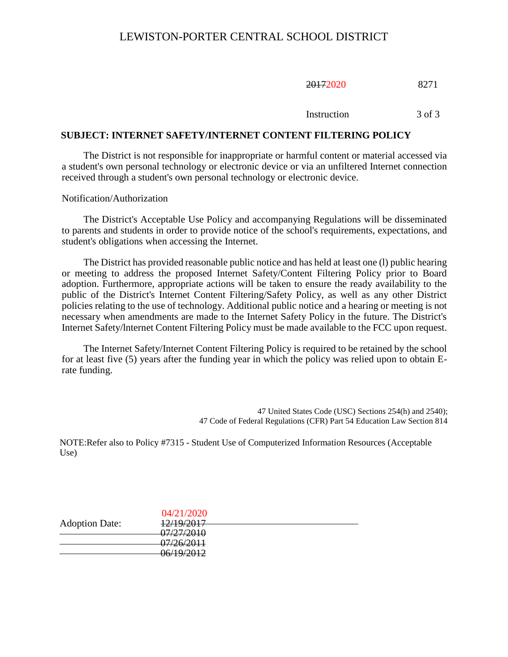## 20172020 8271

Instruction 3 of 3

## **SUBJECT: INTERNET SAFETY/INTERNET CONTENT FILTERING POLICY**

The District is not responsible for inappropriate or harmful content or material accessed via a student's own personal technology or electronic device or via an unfiltered Internet connection received through a student's own personal technology or electronic device.

Notification/Authorization

The District's Acceptable Use Policy and accompanying Regulations will be disseminated to parents and students in order to provide notice of the school's requirements, expectations, and student's obligations when accessing the Internet.

The District has provided reasonable public notice and has held at least one (l) public hearing or meeting to address the proposed Internet Safety/Content Filtering Policy prior to Board adoption. Furthermore, appropriate actions will be taken to ensure the ready availability to the public of the District's Internet Content Filtering/Safety Policy, as well as any other District policies relating to the use of technology. Additional public notice and a hearing or meeting is not necessary when amendments are made to the Internet Safety Policy in the future. The District's Internet Safety/lnternet Content Filtering Policy must be made available to the FCC upon request.

The Internet Safety/Internet Content Filtering Policy is required to be retained by the school for at least five (5) years after the funding year in which the policy was relied upon to obtain Erate funding.

> 47 United States Code (USC) Sections 254(h) and 2540); 47 Code of Federal Regulations (CFR) Part 54 Education Law Section 814

NOTE:Refer also to Policy #7315 - Student Use of Computerized Information Resources (Acceptable Use)

|                       | 04/21/2020                             |
|-----------------------|----------------------------------------|
| <b>Adoption Date:</b> | 12/10/2017<br>12/17/2011               |
|                       | 07/27/2010<br><del>∪#∠#∠∪iv</del>      |
|                       | 07/26/2011<br><del>,,,,,,,,,,,,,</del> |
|                       | 36/10/2012<br>00/17/2012               |